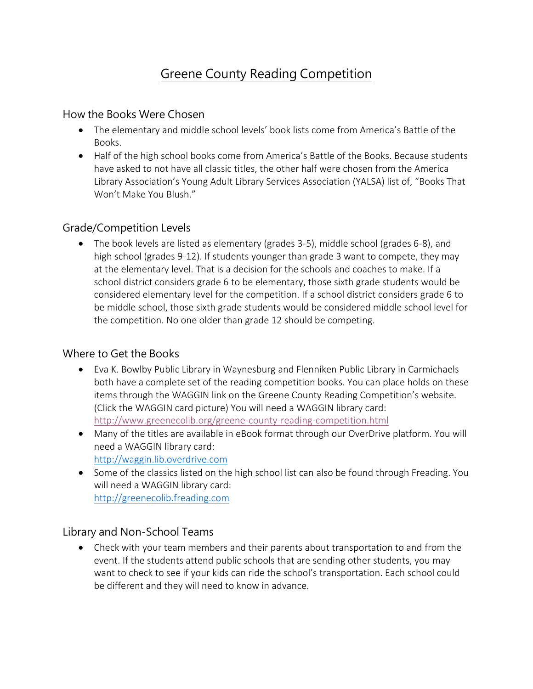# Greene County Reading Competition

### How the Books Were Chosen

- The elementary and middle school levels' book lists come from America's Battle of the Books.
- Half of the high school books come from America's Battle of the Books. Because students have asked to not have all classic titles, the other half were chosen from the America Library Association's Young Adult Library Services Association (YALSA) list of, "Books That Won't Make You Blush."

### Grade/Competition Levels

 The book levels are listed as elementary (grades 3-5), middle school (grades 6-8), and high school (grades 9-12). If students younger than grade 3 want to compete, they may at the elementary level. That is a decision for the schools and coaches to make. If a school district considers grade 6 to be elementary, those sixth grade students would be considered elementary level for the competition. If a school district considers grade 6 to be middle school, those sixth grade students would be considered middle school level for the competition. No one older than grade 12 should be competing.

## Where to Get the Books

- Eva K. Bowlby Public Library in Waynesburg and Flenniken Public Library in Carmichaels both have a complete set of the reading competition books. You can place holds on these items through the WAGGIN link on the Greene County Reading Competition's website. (Click the WAGGIN card picture) You will need a WAGGIN library card: <http://www.greenecolib.org/greene-county-reading-competition.html>
- Many of the titles are available in eBook format through our OverDrive platform. You will need a WAGGIN library card: [http://waggin.lib.overdrive.com](http://waggin.lib.overdrive.com/)
- Some of the classics listed on the high school list can also be found through Freading. You will need a WAGGIN library card: [http://greenecolib.freading.com](http://greenecolib.freading.com/)

## Library and Non-School Teams

 Check with your team members and their parents about transportation to and from the event. If the students attend public schools that are sending other students, you may want to check to see if your kids can ride the school's transportation. Each school could be different and they will need to know in advance.